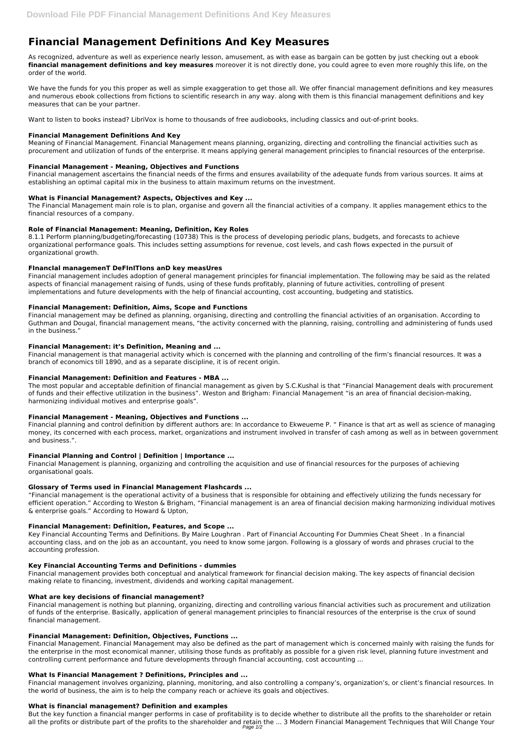# **Financial Management Definitions And Key Measures**

As recognized, adventure as well as experience nearly lesson, amusement, as with ease as bargain can be gotten by just checking out a ebook **financial management definitions and key measures** moreover it is not directly done, you could agree to even more roughly this life, on the order of the world.

We have the funds for you this proper as well as simple exaggeration to get those all. We offer financial management definitions and key measures and numerous ebook collections from fictions to scientific research in any way. along with them is this financial management definitions and key measures that can be your partner.

Want to listen to books instead? LibriVox is home to thousands of free audiobooks, including classics and out-of-print books.

# **Financial Management Definitions And Key**

Meaning of Financial Management. Financial Management means planning, organizing, directing and controlling the financial activities such as procurement and utilization of funds of the enterprise. It means applying general management principles to financial resources of the enterprise.

# **Financial Management - Meaning, Objectives and Functions**

Financial management ascertains the financial needs of the firms and ensures availability of the adequate funds from various sources. It aims at establishing an optimal capital mix in the business to attain maximum returns on the investment.

# **What is Financial Management? Aspects, Objectives and Key ...**

The Financial Management main role is to plan, organise and govern all the financial activities of a company. It applies management ethics to the financial resources of a company.

# **Role of Financial Management: Meaning, Definition, Key Roles**

8.1.1 Perform planning/budgeting/forecasting (10738) This is the process of developing periodic plans, budgets, and forecasts to achieve organizational performance goals. This includes setting assumptions for revenue, cost levels, and cash flows expected in the pursuit of organizational growth.

# **FInancIal managemenT DeFInITIons anD key measUres**

Financial management includes adoption of general management principles for financial implementation. The following may be said as the related aspects of financial management raising of funds, using of these funds profitably, planning of future activities, controlling of present implementations and future developments with the help of financial accounting, cost accounting, budgeting and statistics.

## **Financial Management: Definition, Aims, Scope and Functions**

Financial management may be defined as planning, organising, directing and controlling the financial activities of an organisation. According to Guthman and Dougal, financial management means, "the activity concerned with the planning, raising, controlling and administering of funds used in the business."

## **Financial Management: it's Definition, Meaning and ...**

Financial management is that managerial activity which is concerned with the planning and controlling of the firm's financial resources. It was a branch of economics till 1890, and as a separate discipline, it is of recent origin.

## **Financial Management: Definition and Features - MBA ...**

The most popular and acceptable definition of financial management as given by S.C.Kushal is that "Financial Management deals with procurement of funds and their effective utilization in the business". Weston and Brigham: Financial Management "is an area of financial decision-making, harmonizing individual motives and enterprise goals".

# **Financial Management - Meaning, Objectives and Functions ...**

Financial planning and control definition by different authors are: In accordance to Ekweueme P. " Finance is that art as well as science of managing money, its concerned with each process, market, organizations and instrument involved in transfer of cash among as well as in between government and business.".

# **Financial Planning and Control | Definition | Importance ...**

Financial Management is planning, organizing and controlling the acquisition and use of financial resources for the purposes of achieving organisational goals.

# **Glossary of Terms used in Financial Management Flashcards ...**

"Financial management is the operational activity of a business that is responsible for obtaining and effectively utilizing the funds necessary for efficient operation." According to Weston & Brigham, "Financial management is an area of financial decision making harmonizing individual motives & enterprise goals." According to Howard & Upton,

## **Financial Management: Definition, Features, and Scope ...**

Key Financial Accounting Terms and Definitions. By Maire Loughran . Part of Financial Accounting For Dummies Cheat Sheet . In a financial accounting class, and on the job as an accountant, you need to know some jargon. Following is a glossary of words and phrases crucial to the accounting profession.

#### **Key Financial Accounting Terms and Definitions - dummies**

Financial management provides both conceptual and analytical framework for financial decision making. The key aspects of financial decision making relate to financing, investment, dividends and working capital management.

#### **What are key decisions of financial management?**

Financial management is nothing but planning, organizing, directing and controlling various financial activities such as procurement and utilization of funds of the enterprise. Basically, application of general management principles to financial resources of the enterprise is the crux of sound financial management.

#### **Financial Management: Definition, Objectives, Functions ...**

Financial Management. Financial Management may also be defined as the part of management which is concerned mainly with raising the funds for the enterprise in the most economical manner, utilising those funds as profitably as possible for a given risk level, planning future investment and controlling current performance and future developments through financial accounting, cost accounting ...

#### **What Is Financial Management ? Definitions, Principles and ...**

Financial management involves organizing, planning, monitoring, and also controlling a company's, organization's, or client's financial resources. In the world of business, the aim is to help the company reach or achieve its goals and objectives.

#### **What is financial management? Definition and examples**

But the key function a financial manger performs in case of profitability is to decide whether to distribute all the profits to the shareholder or retain all the profits or distribute part of the profits to the shareholder and retain the ... 3 Modern Financial Management Techniques that Will Change Your Page 1/2